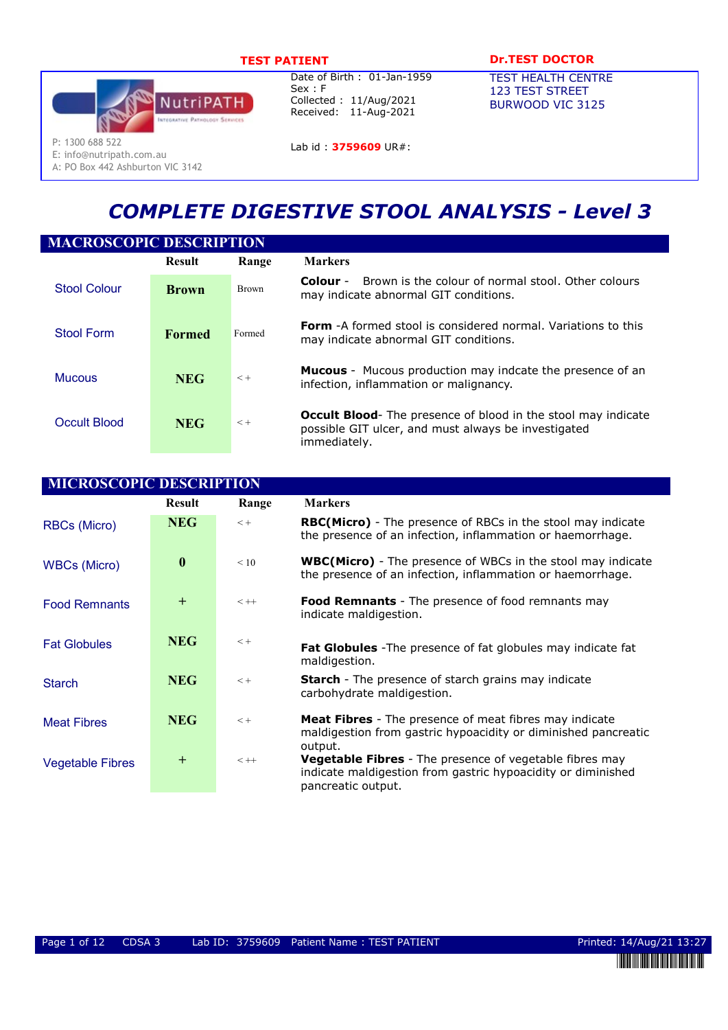

E: info@nutripath.com.au A: PO Box 442 Ashburton VIC 3142

Date of Birth : 01-Jan-1959 Sex : F Collected : 11/Aug/2021 Received: 11-Aug-2021

TEST PATIENT DESCRIPTION DESCRIPTION OF THE DOCTOR

TEST HEALTH CENTRE 123 TEST STREET BURWOOD VIC 3125

Lab id: 3759609 UR#:

# COMPLETE DIGESTIVE STOOL ANALYSIS - Level 3

| <b>MACROSCOPIC DESCRIPTION</b> |               |              |                                                                                                                                              |  |  |  |  |
|--------------------------------|---------------|--------------|----------------------------------------------------------------------------------------------------------------------------------------------|--|--|--|--|
|                                | <b>Result</b> | Range        | <b>Markers</b>                                                                                                                               |  |  |  |  |
| <b>Stool Colour</b>            | <b>Brown</b>  | <b>Brown</b> | Brown is the colour of normal stool. Other colours<br>Colour -<br>may indicate abnormal GIT conditions.                                      |  |  |  |  |
| Stool Form                     | <b>Formed</b> | Formed       | <b>Form</b> -A formed stool is considered normal. Variations to this<br>may indicate abnormal GIT conditions.                                |  |  |  |  |
| <b>Mucous</b>                  | <b>NEG</b>    | $< +$        | <b>Mucous</b> - Mucous production may indcate the presence of an<br>infection, inflammation or malignancy.                                   |  |  |  |  |
| Occult Blood                   | <b>NEG</b>    | $< +$        | <b>Occult Blood</b> - The presence of blood in the stool may indicate<br>possible GIT ulcer, and must always be investigated<br>immediately. |  |  |  |  |

| <b>MICROSCOPIC DESCRIPTION</b> |                  |         |                                                                                                                                                      |  |  |  |
|--------------------------------|------------------|---------|------------------------------------------------------------------------------------------------------------------------------------------------------|--|--|--|
|                                | <b>Result</b>    | Range   | <b>Markers</b>                                                                                                                                       |  |  |  |
| <b>RBCs (Micro)</b>            | <b>NEG</b>       | $< +$   | <b>RBC(Micro)</b> - The presence of RBCs in the stool may indicate<br>the presence of an infection, inflammation or haemorrhage.                     |  |  |  |
| <b>WBCs (Micro)</b>            | $\boldsymbol{0}$ | < 10    | <b>WBC(Micro)</b> - The presence of WBCs in the stool may indicate<br>the presence of an infection, inflammation or haemorrhage.                     |  |  |  |
| <b>Food Remnants</b>           | $\pm$            | $< + +$ | <b>Food Remnants</b> - The presence of food remnants may<br>indicate maldigestion.                                                                   |  |  |  |
| <b>Fat Globules</b>            | <b>NEG</b>       | $< +$   | <b>Fat Globules</b> - The presence of fat globules may indicate fat<br>maldigestion.                                                                 |  |  |  |
| <b>Starch</b>                  | <b>NEG</b>       | $< +$   | <b>Starch</b> - The presence of starch grains may indicate<br>carbohydrate maldigestion.                                                             |  |  |  |
| <b>Meat Fibres</b>             | <b>NEG</b>       | $< +$   | <b>Meat Fibres</b> - The presence of meat fibres may indicate<br>maldigestion from gastric hypoacidity or diminished pancreatic<br>output.           |  |  |  |
| <b>Vegetable Fibres</b>        | $\pm$            | $< + +$ | <b>Vegetable Fibres</b> - The presence of vegetable fibres may<br>indicate maldigestion from gastric hypoacidity or diminished<br>pancreatic output. |  |  |  |

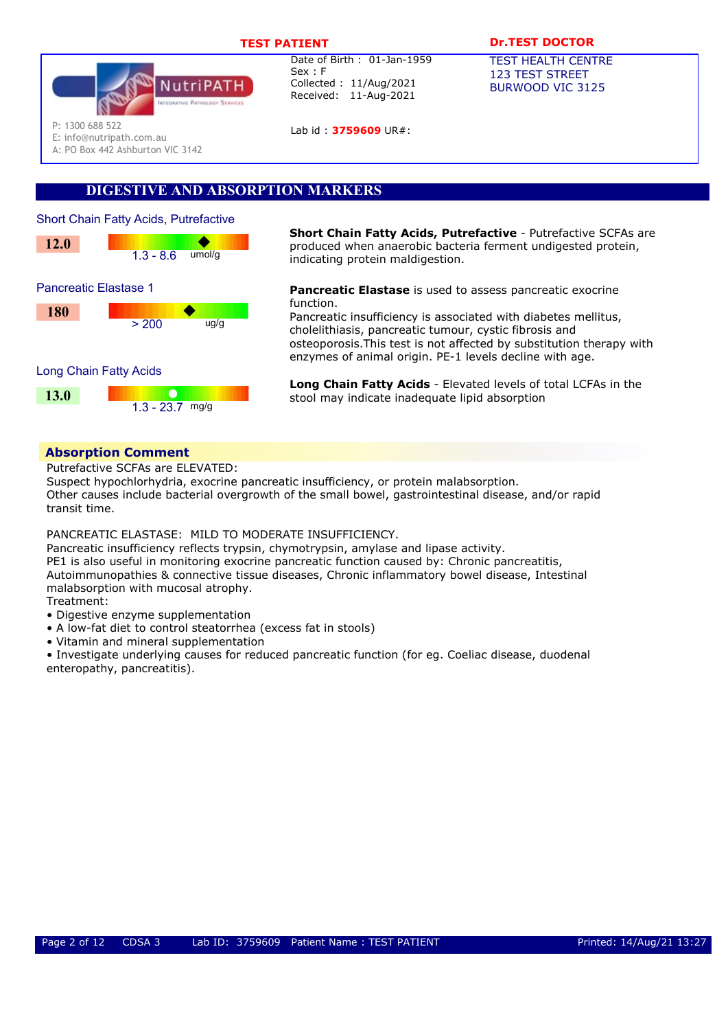

Lab id : 3759609 UR#:

# TEST PATIENT **DESAULT DREST DOCTOR**

TEST HEALTH CENTRE 123 TEST STREET BURWOOD VIC 3125

P: 1300 688 522

E: info@nutripath.com.au

A: PO Box 442 Ashburton VIC 3142

# DIGESTIVE AND ABSORPTION MARKERS



**Short Chain Fatty Acids, Putrefactive** - Putrefactive SCFAs are produced when anaerobic bacteria ferment undigested protein, indicating protein maldigestion.

> Pancreatic Elastase is used to assess pancreatic exocrine function.

Pancreatic insufficiency is associated with diabetes mellitus, cholelithiasis, pancreatic tumour, cystic fibrosis and osteoporosis.This test is not affected by substitution therapy with enzymes of animal origin. PE-1 levels decline with age.

Long Chain Fatty Acids - Elevated levels of total LCFAs in the stool may indicate inadequate lipid absorption

# Absorption Comment

Putrefactive SCFAs are ELEVATED:

Suspect hypochlorhydria, exocrine pancreatic insufficiency, or protein malabsorption. Other causes include bacterial overgrowth of the small bowel, gastrointestinal disease, and/or rapid transit time.

PANCREATIC ELASTASE: MILD TO MODERATE INSUFFICIENCY.

Pancreatic insufficiency reflects trypsin, chymotrypsin, amylase and lipase activity. PE1 is also useful in monitoring exocrine pancreatic function caused by: Chronic pancreatitis, Autoimmunopathies & connective tissue diseases, Chronic inflammatory bowel disease, Intestinal malabsorption with mucosal atrophy. Treatment:

- Digestive enzyme supplementation
- A low-fat diet to control steatorrhea (excess fat in stools)
- Vitamin and mineral supplementation

• Investigate underlying causes for reduced pancreatic function (for eg. Coeliac disease, duodenal enteropathy, pancreatitis).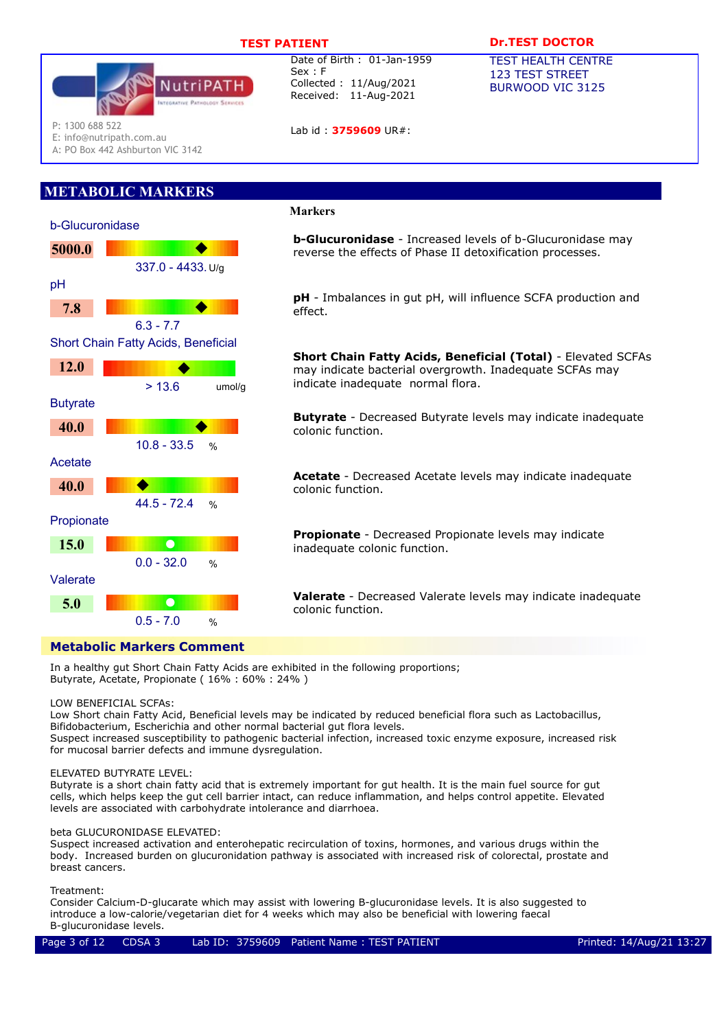Date of Birth : 01-Jan-1959

Collected : 11/Aug/2021 Received: 11-Aug-2021

Lab id : 3759609 UR#:



P: 1300 688 522

E: info@nutripath.com.au

A: PO Box 442 Ashburton VIC 3142

# METABOLIC MARKERS



### Markers

Sex : F

**b-Glucuronidase** - Increased levels of b-Glucuronidase may reverse the effects of Phase II detoxification processes.

pH - Imbalances in gut pH, will influence SCFA production and effect.

Short Chain Fatty Acids, Beneficial (Total) - Elevated SCFAs may indicate bacterial overgrowth. Inadequate SCFAs may indicate inadequate normal flora.

**Butyrate** - Decreased Butyrate levels may indicate inadequate colonic function.

Acetate - Decreased Acetate levels may indicate inadequate colonic function.

Propionate - Decreased Propionate levels may indicate inadequate colonic function.

Valerate - Decreased Valerate levels may indicate inadequate colonic function.

In a healthy gut Short Chain Fatty Acids are exhibited in the following proportions; Butyrate, Acetate, Propionate ( 16% : 60% : 24% )

### LOW BENEFICIAL SCFAs:

Low Short chain Fatty Acid, Beneficial levels may be indicated by reduced beneficial flora such as Lactobacillus, Bifidobacterium, Escherichia and other normal bacterial gut flora levels.

Suspect increased susceptibility to pathogenic bacterial infection, increased toxic enzyme exposure, increased risk for mucosal barrier defects and immune dysregulation.

### ELEVATED BUTYRATE LEVEL:

Butyrate is a short chain fatty acid that is extremely important for gut health. It is the main fuel source for gut cells, which helps keep the gut cell barrier intact, can reduce inflammation, and helps control appetite. Elevated levels are associated with carbohydrate intolerance and diarrhoea.

### beta GLUCURONIDASE ELEVATED:

Suspect increased activation and enterohepatic recirculation of toxins, hormones, and various drugs within the body. Increased burden on glucuronidation pathway is associated with increased risk of colorectal, prostate and breast cancers.

### Treatment:

Consider Calcium-D-glucarate which may assist with lowering B-glucuronidase levels. It is also suggested to introduce a low-calorie/vegetarian diet for 4 weeks which may also be beneficial with lowering faecal B-glucuronidase levels.

## TEST PATIENT **DESAULT DREST DOCTOR**

TEST HEALTH CENTRE 123 TEST STREET BURWOOD VIC 3125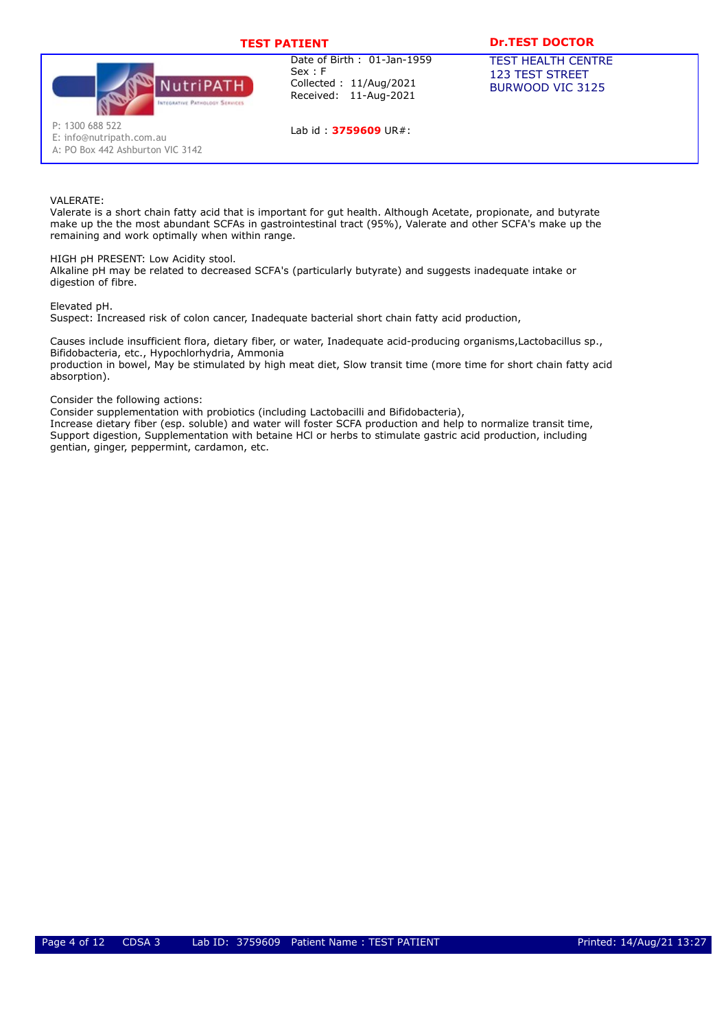

Lab id: 3759609 UR#:

# TEST PATIENT **DESAULT DREST DOCTOR**

TEST HEALTH CENTRE 123 TEST STREET BURWOOD VIC 3125

E: info@nutripath.com.au

A: PO Box 442 Ashburton VIC 3142

### VAI FRATF:

Valerate is a short chain fatty acid that is important for gut health. Although Acetate, propionate, and butyrate make up the the most abundant SCFAs in gastrointestinal tract (95%), Valerate and other SCFA's make up the remaining and work optimally when within range.

HIGH pH PRESENT: Low Acidity stool.

Alkaline pH may be related to decreased SCFA's (particularly butyrate) and suggests inadequate intake or digestion of fibre.

Elevated pH.

Suspect: Increased risk of colon cancer, Inadequate bacterial short chain fatty acid production,

Causes include insufficient flora, dietary fiber, or water, Inadequate acid-producing organisms,Lactobacillus sp., Bifidobacteria, etc., Hypochlorhydria, Ammonia production in bowel, May be stimulated by high meat diet, Slow transit time (more time for short chain fatty acid absorption).

### Consider the following actions:

Consider supplementation with probiotics (including Lactobacilli and Bifidobacteria),

Increase dietary fiber (esp. soluble) and water will foster SCFA production and help to normalize transit time, Support digestion, Supplementation with betaine HCl or herbs to stimulate gastric acid production, including gentian, ginger, peppermint, cardamon, etc.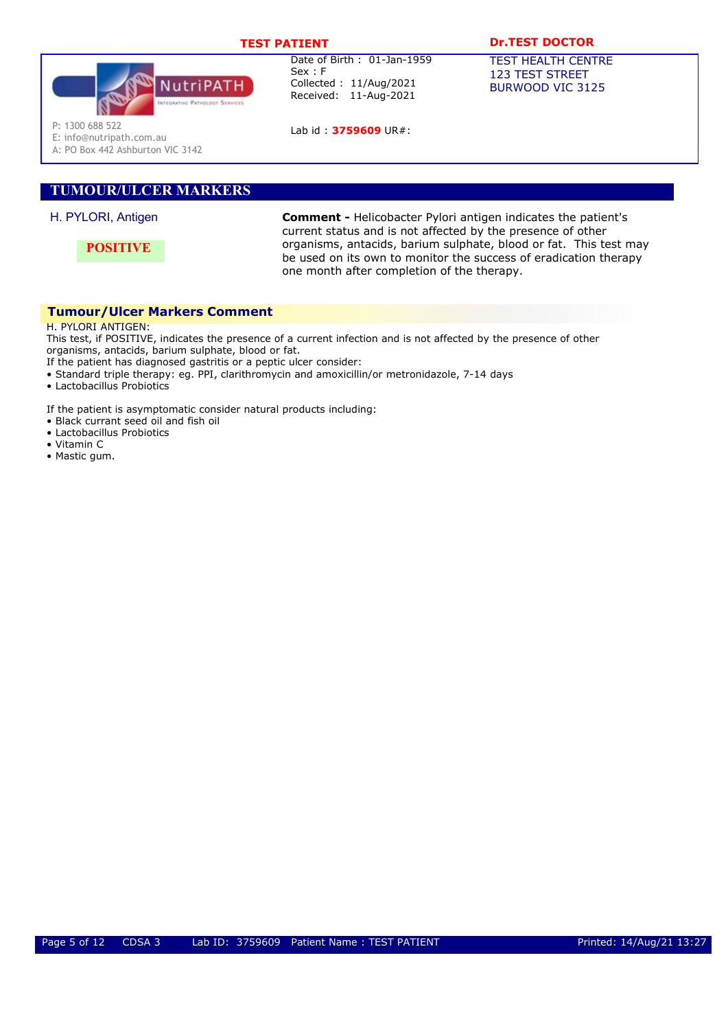

Lab id: 3759609 UR#:

# TEST PATIENT **DESAULT DREST DOCTOR**

TEST HEALTH CENTRE 123 TEST STREET BURWOOD VIC 3125

P: 1300 688 522

E: info@nutripath.com.au

A: PO Box 442 Ashburton VIC 3142

# TUMOUR/ULCER MARKERS

# H. PYLORI, Antigen

**POSITIVE** 

Comment - Helicobacter Pylori antigen indicates the patient's current status and is not affected by the presence of other organisms, antacids, barium sulphate, blood or fat. This test may be used on its own to monitor the success of eradication therapy one month after completion of the therapy.

# Tumour/Ulcer Markers Comment

H. PYLORI ANTIGEN:

This test, if POSITIVE, indicates the presence of a current infection and is not affected by the presence of other organisms, antacids, barium sulphate, blood or fat.

If the patient has diagnosed gastritis or a peptic ulcer consider:

- Standard triple therapy: eg. PPI, clarithromycin and amoxicillin/or metronidazole, 7-14 days
- Lactobacillus Probiotics

If the patient is asymptomatic consider natural products including:

- Black currant seed oil and fish oil
- Lactobacillus Probiotics
- Vitamin C
- Mastic gum.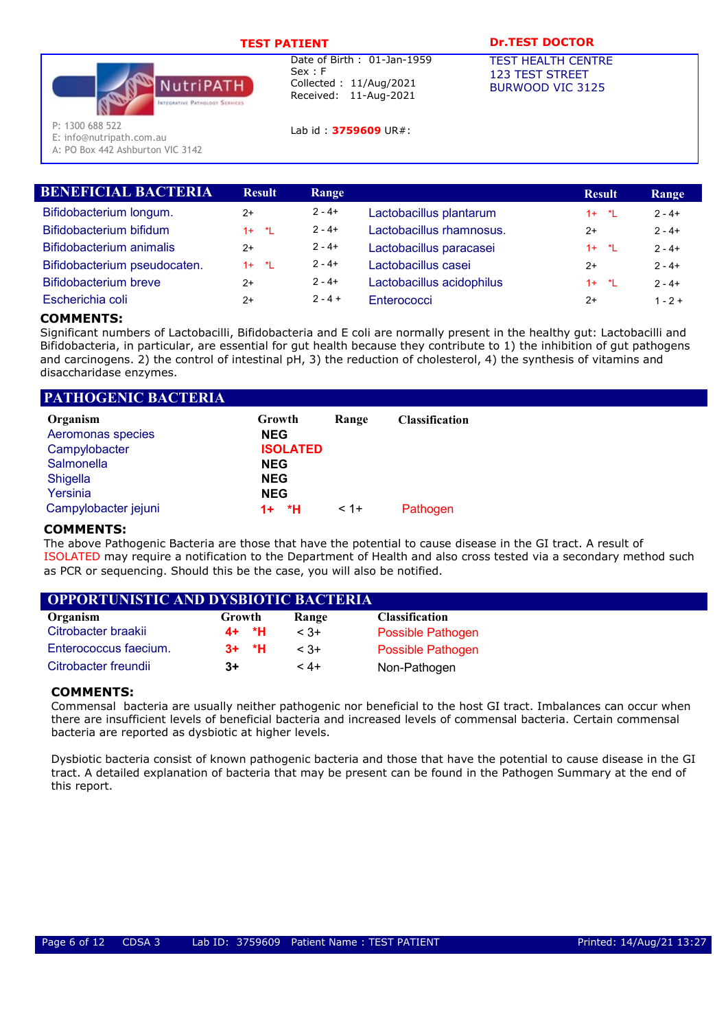

Lab id : 3759609 UR#:

# TEST PATIENT **DESAULT DREST DOCTOR**

TEST HEALTH CENTRE 123 TEST STREET BURWOOD VIC 3125

P: 1300 688 522

E: info@nutripath.com.au

A: PO Box 442 Ashburton VIC 3142

| <b>Result</b> | Range     |                           | <b>Result</b> | Range     |
|---------------|-----------|---------------------------|---------------|-----------|
| $2+$          | $2 - 4 +$ | Lactobacillus plantarum   | $1 + 1$       | $2 - 4 +$ |
| $1 + 1$       | $2 - 4 +$ | Lactobacillus rhamnosus.  | $2+$          | $2 - 4 +$ |
| $2+$          | $2 - 4 +$ | Lactobacillus paracasei   | $1 + *L$      | $2 - 4 +$ |
| $1 + 1$ *L    | $2 - 4 +$ | Lactobacillus casei       | $2+$          | $2 - 4 +$ |
| $2+$          | $2 - 4 +$ | Lactobacillus acidophilus | $1 + 1$       | $2 - 4 +$ |
| $2+$          | $2 - 4 +$ | Enterococci               | $2+$          | $1 - 2 +$ |
|               |           |                           |               |           |

# COMMENTS:

Significant numbers of Lactobacilli, Bifidobacteria and E coli are normally present in the healthy gut: Lactobacilli and Bifidobacteria, in particular, are essential for gut health because they contribute to 1) the inhibition of gut pathogens and carcinogens. 2) the control of intestinal pH, 3) the reduction of cholesterol, 4) the synthesis of vitamins and disaccharidase enzymes.

# PATHOGENIC BACTERIA

| Organism<br>Aeromonas species<br>Campylobacter<br>Salmonella<br>Shigella<br>Yersinia | Growth<br><b>NEG</b><br><b>ISOLATED</b><br><b>NEG</b><br><b>NEG</b><br><b>NEG</b> | Range   | <b>Classification</b> |
|--------------------------------------------------------------------------------------|-----------------------------------------------------------------------------------|---------|-----------------------|
| Campylobacter jejuni                                                                 | *H.<br>$1+$                                                                       | $< 1 +$ | Pathogen              |

# COMMENTS:

The above Pathogenic Bacteria are those that have the potential to cause disease in the GI tract. A result of ISOLATED may require a notification to the Department of Health and also cross tested via a secondary method such as PCR or sequencing. Should this be the case, you will also be notified.

# OPPORTUNISTIC AND DYSBIOTIC BACTERIA

| Organism              | Growth  | Range  | <b>Classification</b> |
|-----------------------|---------|--------|-----------------------|
| Citrobacter braakii   | 4+ *H   | $< 3+$ | Possible Pathogen     |
| Enterococcus faecium. | $3+$ *H | $< 3+$ | Possible Pathogen     |
| Citrobacter freundii  | $3+$    | $4+$   | Non-Pathogen          |

# COMMENTS:

Commensal bacteria are usually neither pathogenic nor beneficial to the host GI tract. Imbalances can occur when there are insufficient levels of beneficial bacteria and increased levels of commensal bacteria. Certain commensal bacteria are reported as dysbiotic at higher levels.

Dysbiotic bacteria consist of known pathogenic bacteria and those that have the potential to cause disease in the GI tract. A detailed explanation of bacteria that may be present can be found in the Pathogen Summary at the end of this report.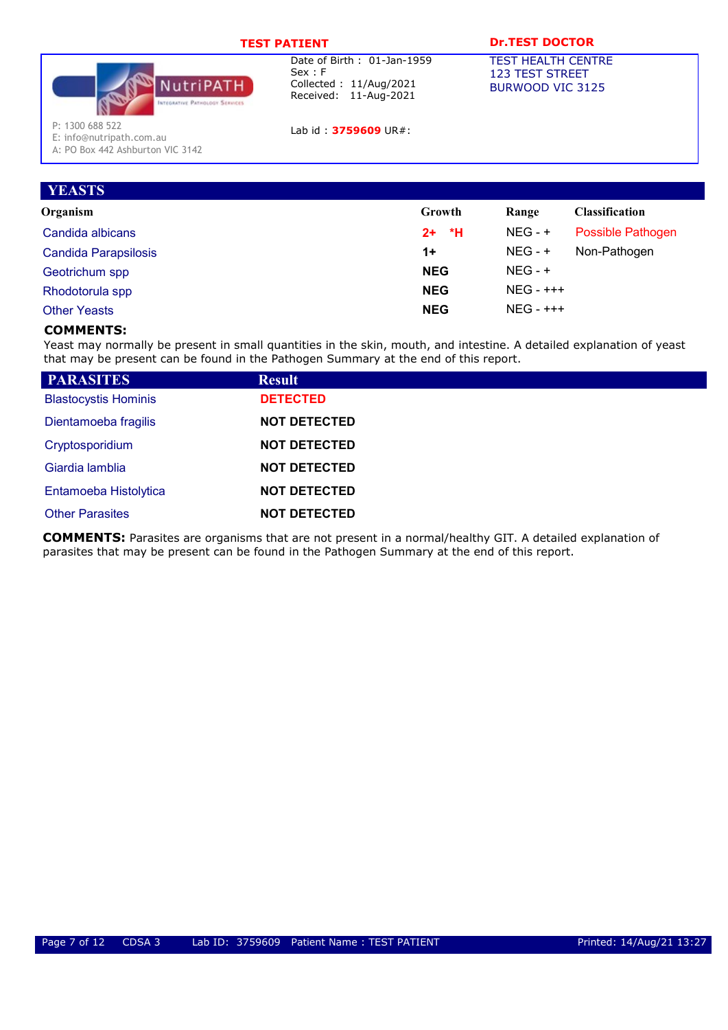| and the control of the control |  |  |  |  |  |
|--------------------------------|--|--|--|--|--|
|                                |  |  |  |  |  |



Lab id: 3759609 UR#:

# TEST DOCTOR

TEST HEALTH CENTRE 123 TEST STREET BURWOOD VIC 3125

P: 1300 688 522

E: info@nutripath.com.au A: PO Box 442 Ashburton VIC 3142

| <b>YEASTS</b>               |              |              |                       |
|-----------------------------|--------------|--------------|-----------------------|
| Organism                    | Growth       | Range        | <b>Classification</b> |
| Candida albicans            | - *H<br>$2+$ | $NEG - +$    | Possible Pathogen     |
| <b>Candida Parapsilosis</b> | $1+$         | $NEG - +$    | Non-Pathogen          |
| Geotrichum spp              | <b>NEG</b>   | $NEG - +$    |                       |
| Rhodotorula spp             | <b>NEG</b>   | $NEG - ++ +$ |                       |
| <b>Other Yeasts</b>         | <b>NEG</b>   | $NEG - ++ +$ |                       |

# COMMENTS:

Yeast may normally be present in small quantities in the skin, mouth, and intestine. A detailed explanation of yeast that may be present can be found in the Pathogen Summary at the end of this report.

| <b>PARASITES</b>            | <b>Result</b>       |
|-----------------------------|---------------------|
| <b>Blastocystis Hominis</b> | <b>DETECTED</b>     |
| Dientamoeba fragilis        | <b>NOT DETECTED</b> |
| Cryptosporidium             | <b>NOT DETECTED</b> |
| Giardia lamblia             | <b>NOT DETECTED</b> |
| Entamoeba Histolytica       | <b>NOT DETECTED</b> |
| <b>Other Parasites</b>      | <b>NOT DETECTED</b> |

COMMENTS: Parasites are organisms that are not present in a normal/healthy GIT. A detailed explanation of parasites that may be present can be found in the Pathogen Summary at the end of this report.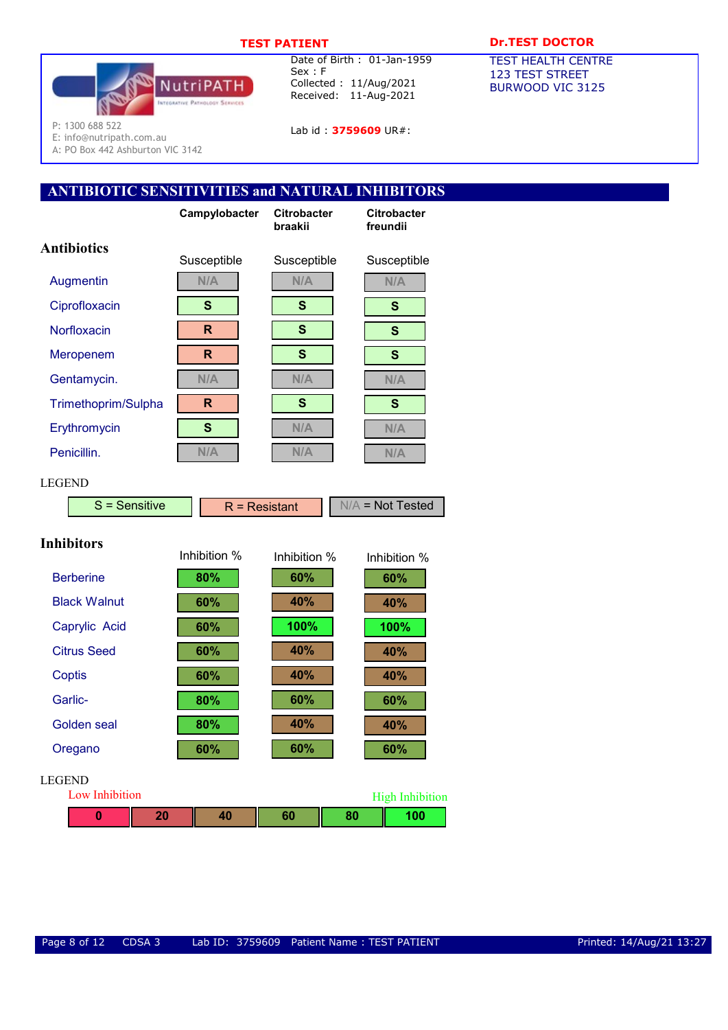

Lab id: **3759609** UR#:

# TEST PATIENT DESCRIPTION DESCRIPTION OF THE PATTENT OF THE PATTENT OF THE PATTENT OF THE PATTENT OF THE PATTENT

TEST HEALTH CENTRE 123 TEST STREET BURWOOD VIC 3125

P: 1300 688 522 E: info@nutripath.com.au

A: PO Box 442 Ashburton VIC 3142

# ANTIBIOTIC SENSITIVITIES and NATURAL INHIBITORS

|                       | Campylobacter | <b>Citrobacter</b><br>braakii | <b>Citrobacter</b><br>freundii |
|-----------------------|---------------|-------------------------------|--------------------------------|
| <b>Antibiotics</b>    | Susceptible   | Susceptible                   | Susceptible                    |
| Augmentin             | N/A           | N/A                           | N/A                            |
| Ciprofloxacin         | S             | S                             | $\mathbf{s}$                   |
| Norfloxacin           | R             | $\mathbf{s}$                  | $\mathbf{s}$                   |
| Meropenem             | R             | $\mathbf{s}$                  | $\mathbf{s}$                   |
| Gentamycin.           | N/A           | N/A                           | N/A                            |
| Trimethoprim/Sulpha   | R             | $\mathbf{s}$                  | $\mathbf{s}$                   |
| Erythromycin          | $\mathbf{s}$  | N/A                           | N/A                            |
| Penicillin.           | N/A           | N/A                           | N/A                            |
| <b>LEGEND</b>         |               |                               |                                |
| $S =$ Sensitive       |               | $R =$ Resistant               | $N/A$ = Not Tested             |
| <b>Inhibitors</b>     | Inhibition %  | Inhibition %                  | Inhibition %                   |
| <b>Berberine</b>      | 80%           | 60%                           | 60%                            |
| <b>Black Walnut</b>   | 60%           | 40%                           | 40%                            |
| Caprylic Acid         | 60%           | 100%                          | 100%                           |
| <b>Citrus Seed</b>    | 60%           | 40%                           | 40%                            |
| <b>Coptis</b>         | 60%           | 40%                           | 40%                            |
| Garlic-               | 80%           | 60%                           | 60%                            |
| <b>Golden</b> seal    | 80%           | 40%                           | 40%                            |
| Oregano               | 60%           | 60%                           | 60%                            |
| LEGEND                |               |                               |                                |
| <b>Low Inhibition</b> |               |                               | <b>High Inhibition</b>         |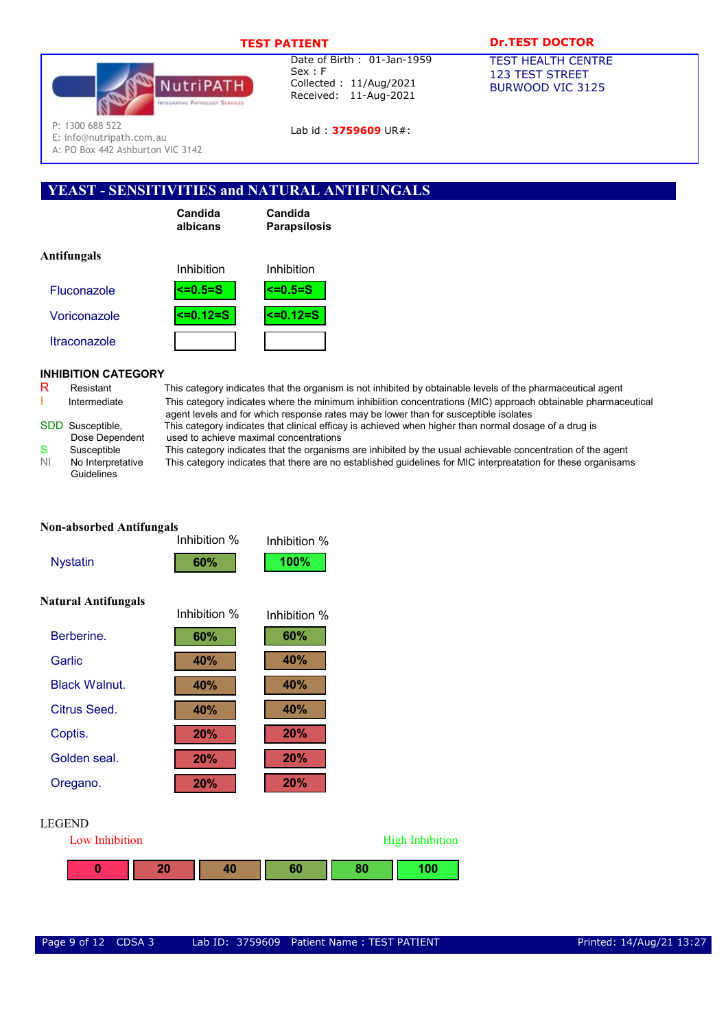

Lab id: 3759609 UR#:

# TEST PATIENT **DR.TEST DOCTOR**

TEST HEALTH CENTRE 123 TEST STREET BURWOOD VIC 3125

P: 1300 688 522

E: info@nutripath.com.au

A: PO Box 442 Ashburton VIC 3142

# YEAST - SENSITIVITIES and NATURAL ANTIFUNGALS

| Candida  |  |
|----------|--|
| albicans |  |

Candida Parapsilosis

| Anthungais          | Inhibition     | Inhibition    |
|---------------------|----------------|---------------|
| <b>Fluconazole</b>  | $\leq 0.5 = S$ | l<=0.5=S      |
| Voriconazole        | $5 = 0.12 = S$ | $\le$ =0.12=S |
| <b>Itraconazole</b> |                |               |

# INHIBITION CATEGORY

 $A = AP$   $R = 1$ 

|   | SDD Susceptible, |
|---|------------------|
|   | Dose Dependent   |
| S | Susceptible      |
|   |                  |

Guidelines

R Resistant This category indicates that the organism is not inhibited by obtainable levels of the pharmaceutical agent Intermediate This category indicates where the minimum inhibiition concentrations (MIC) approach obtainable pharmaceutical agent levels and for which response rates may be lower than for susceptible isolates This category indicates that clinical efficay is achieved when higher than normal dosage of a drug is

**High Inhibition** 

used to achieve maximal concentrations This category indicates that the organisms are inhibited by the usual achievable concentration of the agent NI No Interpretative This category indicates that there are no established guidelines for MIC interpreatation for these organisams

| <b>Non-absorbed Antifungals</b> |              |              |    |             |
|---------------------------------|--------------|--------------|----|-------------|
|                                 | Inhibition % | Inhibition % |    |             |
| <b>Nystatin</b>                 | 60%          | 100%         |    |             |
| <b>Natural Antifungals</b>      | Inhibition % | Inhibition % |    |             |
|                                 |              |              |    |             |
| Berberine.                      | 60%          | 60%          |    |             |
| Garlic                          | 40%          | 40%          |    |             |
| <b>Black Walnut.</b>            | 40%          | 40%          |    |             |
| <b>Citrus Seed.</b>             | 40%          | 40%          |    |             |
| Coptis.                         | 20%          | 20%          |    |             |
| Golden seal.                    | 20%          | 20%          |    |             |
| Oregano.                        | 20%          | 20%          |    |             |
| <b>LEGEND</b>                   |              |              |    |             |
| Low Inhibition                  |              |              |    | High Inhibi |
| 20<br>0                         | 40           | 60           | 80 | 100         |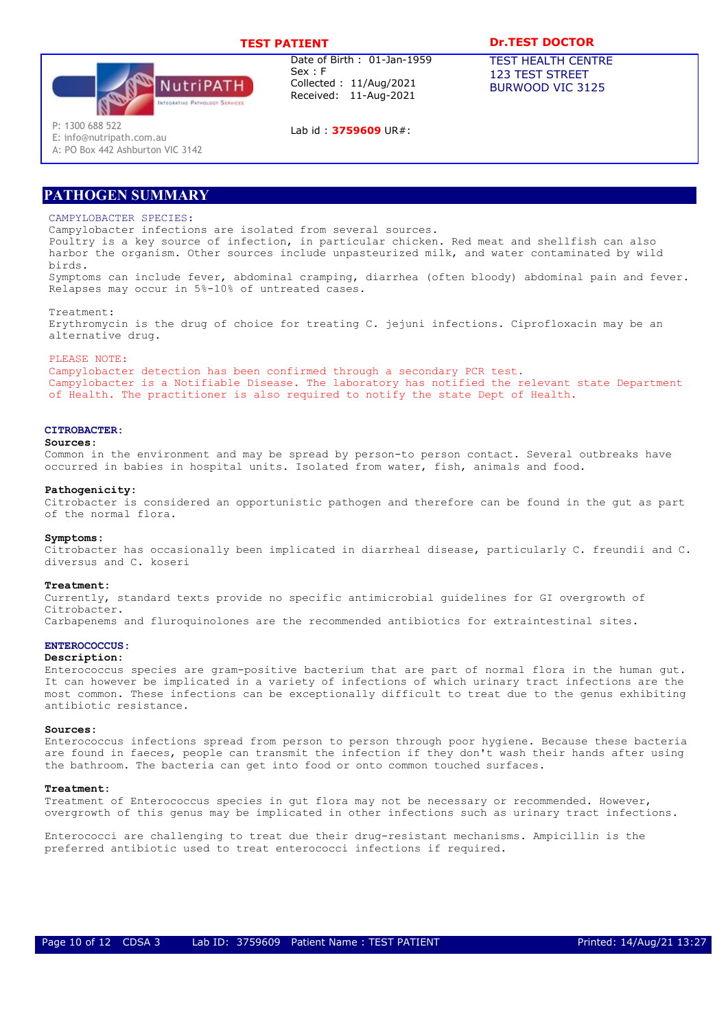

Lab id : 3759609 UR#:

TEST PATIENT **DR.TEST DOCTOR** 

TEST HEALTH CENTRE 123 TEST STREET BURWOOD VIC 3125

P: 1300 688 522

E: info@nutripath.com.au A: PO Box 442 Ashburton VIC 3142

PATHOGEN SUMMARY

### CAMPYLOBACTER SPECIES.

Campylobacter infections are isolated from several sources. Poultry is a key source of infection, in particular chicken. Red meat and shellfish can also harbor the organism. Other sources include unpasteurized milk, and water contaminated by wild birds.

Symptoms can include fever, abdominal cramping, diarrhea (often bloody) abdominal pain and fever. Relapses may occur in 5%-10% of untreated cases.

Treatment:

Erythromycin is the drug of choice for treating C. jejuni infections. Ciprofloxacin may be an alternative drug.

#### PLEASE NOTE:

Campylobacter detection has been confirmed through a secondary PCR test. Campylobacter is a Notifiable Disease. The laboratory has notified the relevant state Department of Health. The practitioner is also required to notify the state Dept of Health.

#### CITROBACTER:

#### Sources:

Common in the environment and may be spread by person-to person contact. Several outbreaks have occurred in babies in hospital units. Isolated from water, fish, animals and food.

#### Pathogenicity:

Citrobacter is considered an opportunistic pathogen and therefore can be found in the gut as part of the normal flora.

#### Symptoms:

Citrobacter has occasionally been implicated in diarrheal disease, particularly C. freundii and C. diversus and C. koseri

#### Treatment:

Currently, standard texts provide no specific antimicrobial guidelines for GI overgrowth of Citrobacter. Carbapenems and fluroquinolones are the recommended antibiotics for extraintestinal sites.

#### ENTEROCOCCUS:

#### Description:

Enterococcus species are gram-positive bacterium that are part of normal flora in the human gut. It can however be implicated in a variety of infections of which urinary tract infections are the most common. These infections can be exceptionally difficult to treat due to the genus exhibiting antibiotic resistance.

#### Sources:

Enterococcus infections spread from person to person through poor hygiene. Because these bacteria are found in faeces, people can transmit the infection if they don't wash their hands after using the bathroom. The bacteria can get into food or onto common touched surfaces.

#### Treatment:

Treatment of Enterococcus species in gut flora may not be necessary or recommended. However, overgrowth of this genus may be implicated in other infections such as urinary tract infections.

Enterococci are challenging to treat due their drug-resistant mechanisms. Ampicillin is the preferred antibiotic used to treat enterococci infections if required.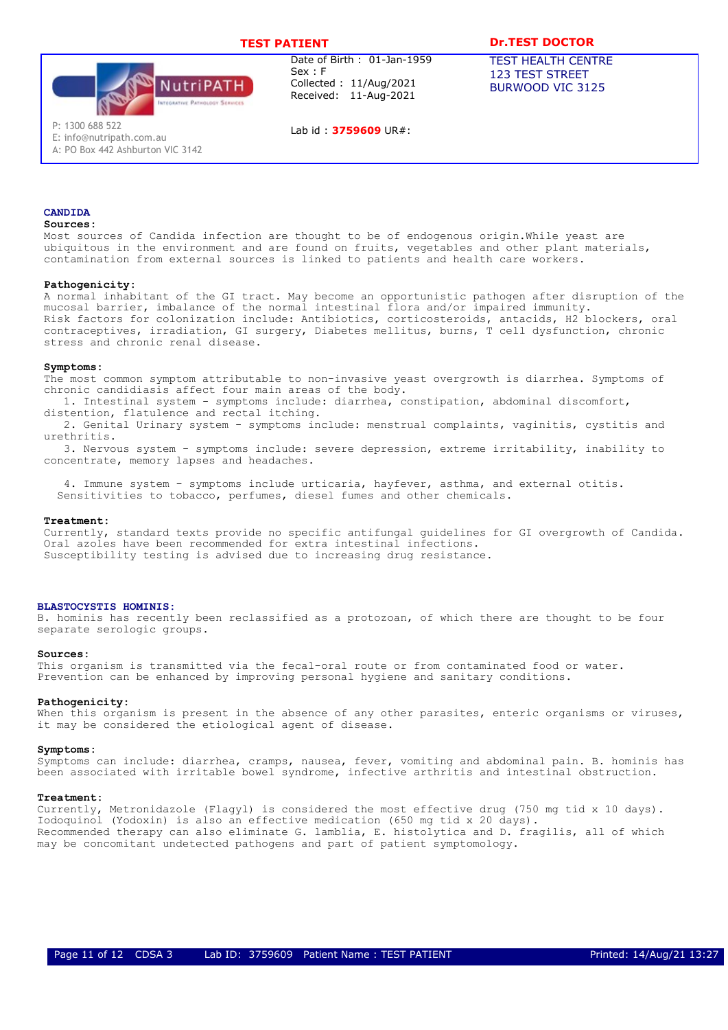

Lab id : 3759609 UR#:

# TEST PATIENT **DR.TEST DOCTOR**

TEST HEALTH CENTRE 123 TEST STREET BURWOOD VIC 3125

P: 1300 688 522

E: info@nutripath.com.au A: PO Box 442 Ashburton VIC 3142

# CANDIDA

### Sources:

Most sources of Candida infection are thought to be of endogenous origin.While yeast are ubiquitous in the environment and are found on fruits, vegetables and other plant materials, contamination from external sources is linked to patients and health care workers.

#### Pathogenicity:

A normal inhabitant of the GI tract. May become an opportunistic pathogen after disruption of the mucosal barrier, imbalance of the normal intestinal flora and/or impaired immunity. Risk factors for colonization include: Antibiotics, corticosteroids, antacids, H2 blockers, oral contraceptives, irradiation, GI surgery, Diabetes mellitus, burns, T cell dysfunction, chronic stress and chronic renal disease.

### Symptoms:

The most common symptom attributable to non-invasive yeast overgrowth is diarrhea. Symptoms of chronic candidiasis affect four main areas of the body.

1. Intestinal system - symptoms include: diarrhea, constipation, abdominal discomfort, distention, flatulence and rectal itching.

2. Genital Urinary system - symptoms include: menstrual complaints, vaginitis, cystitis and urethritis.

3. Nervous system - symptoms include: severe depression, extreme irritability, inability to concentrate, memory lapses and headaches.

4. Immune system - symptoms include urticaria, hayfever, asthma, and external otitis. Sensitivities to tobacco, perfumes, diesel fumes and other chemicals.

#### Treatment:

Currently, standard texts provide no specific antifungal guidelines for GI overgrowth of Candida. Oral azoles have been recommended for extra intestinal infections. Susceptibility testing is advised due to increasing drug resistance.

### BLASTOCYSTIS HOMINIS:

B. hominis has recently been reclassified as a protozoan, of which there are thought to be four separate serologic groups.

#### Sources:

This organism is transmitted via the fecal-oral route or from contaminated food or water. Prevention can be enhanced by improving personal hygiene and sanitary conditions.

#### Pathogenicity:

When this organism is present in the absence of any other parasites, enteric organisms or viruses, it may be considered the etiological agent of disease.

#### Symptoms:

Symptoms can include: diarrhea, cramps, nausea, fever, vomiting and abdominal pain. B. hominis has been associated with irritable bowel syndrome, infective arthritis and intestinal obstruction.

#### Treatment:

Currently, Metronidazole (Flagyl) is considered the most effective drug (750 mg tid x 10 days). Iodoquinol (Yodoxin) is also an effective medication (650 mg tid x 20 days). Recommended therapy can also eliminate G. lamblia, E. histolytica and D. fragilis, all of which may be concomitant undetected pathogens and part of patient symptomology.